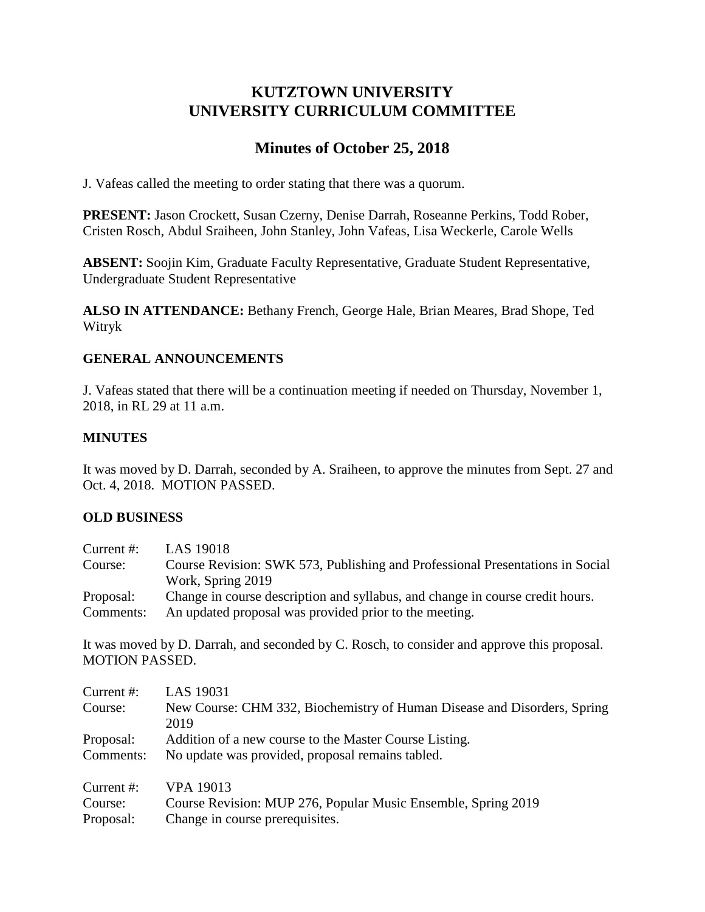# **KUTZTOWN UNIVERSITY UNIVERSITY CURRICULUM COMMITTEE**

# **Minutes of October 25, 2018**

J. Vafeas called the meeting to order stating that there was a quorum.

**PRESENT:** Jason Crockett, Susan Czerny, Denise Darrah, Roseanne Perkins, Todd Rober, Cristen Rosch, Abdul Sraiheen, John Stanley, John Vafeas, Lisa Weckerle, Carole Wells

**ABSENT:** Soojin Kim, Graduate Faculty Representative, Graduate Student Representative, Undergraduate Student Representative

**ALSO IN ATTENDANCE:** Bethany French, George Hale, Brian Meares, Brad Shope, Ted Witryk

## **GENERAL ANNOUNCEMENTS**

J. Vafeas stated that there will be a continuation meeting if needed on Thursday, November 1, 2018, in RL 29 at 11 a.m.

## **MINUTES**

It was moved by D. Darrah, seconded by A. Sraiheen, to approve the minutes from Sept. 27 and Oct. 4, 2018. MOTION PASSED.

#### **OLD BUSINESS**

| Current $#$ : | LAS 19018                                                                     |
|---------------|-------------------------------------------------------------------------------|
| Course:       | Course Revision: SWK 573, Publishing and Professional Presentations in Social |
|               | Work, Spring 2019                                                             |
| Proposal:     | Change in course description and syllabus, and change in course credit hours. |
| Comments:     | An updated proposal was provided prior to the meeting.                        |

It was moved by D. Darrah, and seconded by C. Rosch, to consider and approve this proposal. MOTION PASSED.

| Current #: | LAS 19031                                                                |
|------------|--------------------------------------------------------------------------|
| Course:    | New Course: CHM 332, Biochemistry of Human Disease and Disorders, Spring |
|            | 2019                                                                     |
| Proposal:  | Addition of a new course to the Master Course Listing.                   |
| Comments:  | No update was provided, proposal remains tabled.                         |
| Current #: | VPA 19013                                                                |
| Course:    | Course Revision: MUP 276, Popular Music Ensemble, Spring 2019            |
| Proposal:  | Change in course prerequisites.                                          |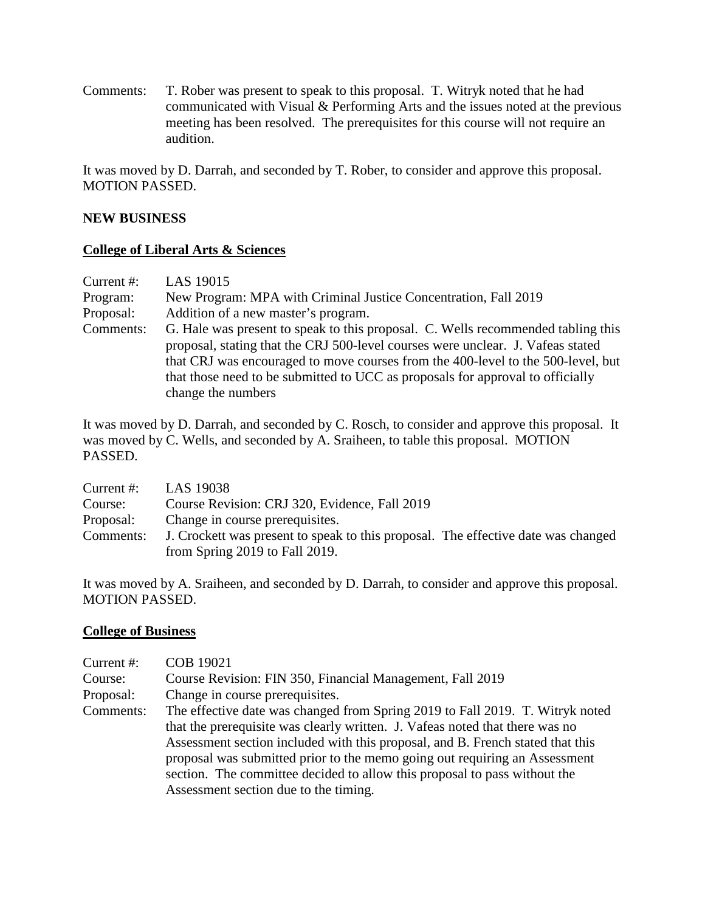Comments: T. Rober was present to speak to this proposal. T. Witryk noted that he had communicated with Visual & Performing Arts and the issues noted at the previous meeting has been resolved. The prerequisites for this course will not require an audition.

It was moved by D. Darrah, and seconded by T. Rober, to consider and approve this proposal. MOTION PASSED.

#### **NEW BUSINESS**

### **College of Liberal Arts & Sciences**

| Current $#$ : | LAS 19015                                                                        |  |
|---------------|----------------------------------------------------------------------------------|--|
| Program:      | New Program: MPA with Criminal Justice Concentration, Fall 2019                  |  |
| Proposal:     | Addition of a new master's program.                                              |  |
| Comments:     | G. Hale was present to speak to this proposal. C. Wells recommended tabling this |  |
|               | proposal, stating that the CRJ 500-level courses were unclear. J. Vafeas stated  |  |
|               | that CRJ was encouraged to move courses from the 400-level to the 500-level, but |  |
|               | that those need to be submitted to UCC as proposals for approval to officially   |  |
|               | change the numbers                                                               |  |

It was moved by D. Darrah, and seconded by C. Rosch, to consider and approve this proposal. It was moved by C. Wells, and seconded by A. Sraiheen, to table this proposal. MOTION PASSED.

| Current $#$ : | LAS 19038                                                                         |  |
|---------------|-----------------------------------------------------------------------------------|--|
| Course:       | Course Revision: CRJ 320, Evidence, Fall 2019                                     |  |
| Proposal:     | Change in course prerequisites.                                                   |  |
| Comments:     | J. Crockett was present to speak to this proposal. The effective date was changed |  |
|               | from Spring 2019 to Fall 2019.                                                    |  |

It was moved by A. Sraiheen, and seconded by D. Darrah, to consider and approve this proposal. MOTION PASSED.

#### **College of Business**

| Current #:<br>Course:<br>Proposal: | <b>COB 19021</b><br>Course Revision: FIN 350, Financial Management, Fall 2019<br>Change in course prerequisites.                                                                                                                                                                                                              |
|------------------------------------|-------------------------------------------------------------------------------------------------------------------------------------------------------------------------------------------------------------------------------------------------------------------------------------------------------------------------------|
| Comments:                          | The effective date was changed from Spring 2019 to Fall 2019. T. Witryk noted<br>that the prerequisite was clearly written. J. Vafeas noted that there was no<br>Assessment section included with this proposal, and B. French stated that this<br>proposal was submitted prior to the memo going out requiring an Assessment |
|                                    | section. The committee decided to allow this proposal to pass without the<br>Assessment section due to the timing.                                                                                                                                                                                                            |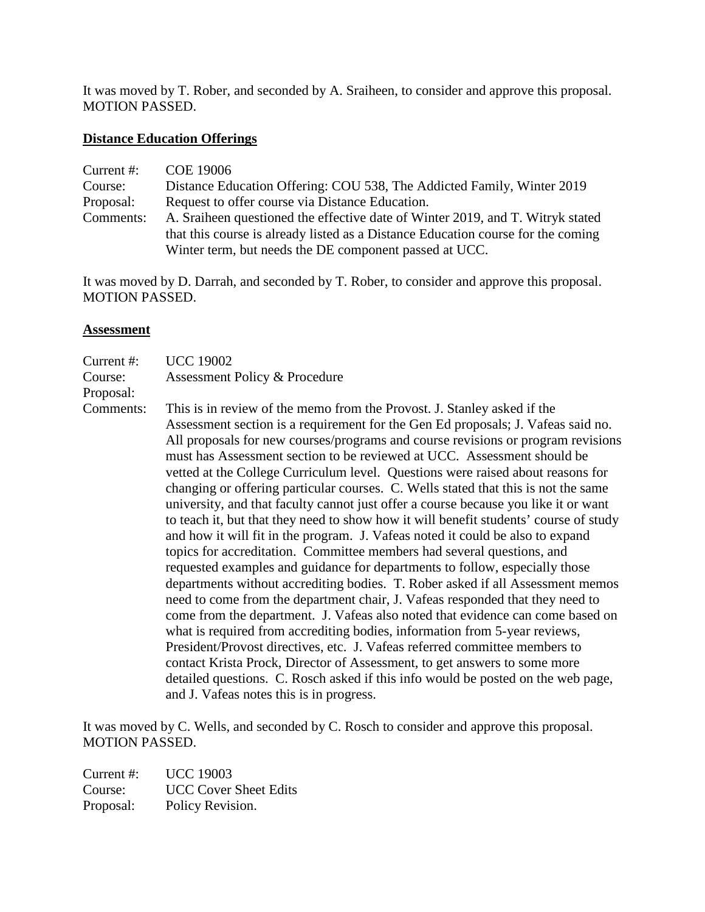It was moved by T. Rober, and seconded by A. Sraiheen, to consider and approve this proposal. MOTION PASSED.

#### **Distance Education Offerings**

| Current $#$ : | COE 19006                                                                        |  |
|---------------|----------------------------------------------------------------------------------|--|
| Course:       | Distance Education Offering: COU 538, The Addicted Family, Winter 2019           |  |
| Proposal:     | Request to offer course via Distance Education.                                  |  |
| Comments:     | A. Sraiheen questioned the effective date of Winter 2019, and T. Witryk stated   |  |
|               | that this course is already listed as a Distance Education course for the coming |  |
|               | Winter term, but needs the DE component passed at UCC.                           |  |

It was moved by D. Darrah, and seconded by T. Rober, to consider and approve this proposal. MOTION PASSED.

#### **Assessment**

| Current #: | <b>UCC 19002</b>                   |
|------------|------------------------------------|
| Course:    | Assessment Policy & Procedure      |
| Proposal:  |                                    |
| Comments:  | This is in review of the memo from |

om the Provost. J. Stanley asked if the Assessment section is a requirement for the Gen Ed proposals; J. Vafeas said no. All proposals for new courses/programs and course revisions or program revisions must has Assessment section to be reviewed at UCC. Assessment should be vetted at the College Curriculum level. Questions were raised about reasons for changing or offering particular courses. C. Wells stated that this is not the same university, and that faculty cannot just offer a course because you like it or want to teach it, but that they need to show how it will benefit students' course of study and how it will fit in the program. J. Vafeas noted it could be also to expand topics for accreditation. Committee members had several questions, and requested examples and guidance for departments to follow, especially those departments without accrediting bodies. T. Rober asked if all Assessment memos need to come from the department chair, J. Vafeas responded that they need to come from the department. J. Vafeas also noted that evidence can come based on what is required from accrediting bodies, information from 5-year reviews, President/Provost directives, etc. J. Vafeas referred committee members to contact Krista Prock, Director of Assessment, to get answers to some more detailed questions. C. Rosch asked if this info would be posted on the web page, and J. Vafeas notes this is in progress.

It was moved by C. Wells, and seconded by C. Rosch to consider and approve this proposal. MOTION PASSED.

Current #: UCC 19003 Course: UCC Cover Sheet Edits Proposal: Policy Revision.